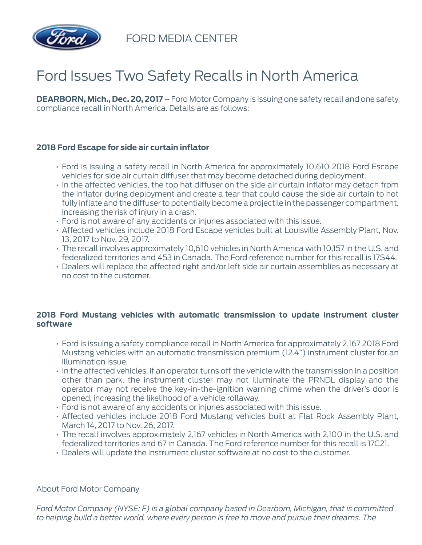

FORD MEDIA CENTER

## Ford Issues Two Safety Recalls in North America

**DEARBORN, Mich., Dec. 20, 2017** – Ford Motor Company is issuing one safety recall and one safety compliance recall in North America. Details are as follows:

## **2018 Ford Escape for side air curtain inflator**

- Ford is issuing a safety recall in North America for approximately 10,610 2018 Ford Escape vehicles for side air curtain diffuser that may become detached during deployment.
- In the affected vehicles, the top hat diffuser on the side air curtain inflator may detach from the inflator during deployment and create a tear that could cause the side air curtain to not fully inflate and the diffuser to potentially become a projectile in the passenger compartment, increasing the risk of injury in a crash.
- Ford is not aware of any accidents or injuries associated with this issue.
- Affected vehicles include 2018 Ford Escape vehicles built at Louisville Assembly Plant, Nov. 13, 2017 to Nov. 29, 2017.
- The recall involves approximately 10,610 vehicles in North America with 10,157 in the U.S. and federalized territories and 453 in Canada. The Ford reference number for this recall is 17S44.
- Dealers will replace the affected right and/or left side air curtain assemblies as necessary at no cost to the customer.

## **2018 Ford Mustang vehicles with automatic transmission to update instrument cluster software**

- Ford is issuing a safety compliance recall in North America for approximately 2,167 2018 Ford Mustang vehicles with an automatic transmission premium (12.4") instrument cluster for an illumination issue.
- In the affected vehicles, if an operator turns off the vehicle with the transmission in a position other than park, the instrument cluster may not illuminate the PRNDL display and the operator may not receive the key-in-the-ignition warning chime when the driver's door is opened, increasing the likelihood of a vehicle rollaway.
- Ford is not aware of any accidents or injuries associated with this issue.
- Affected vehicles include 2018 Ford Mustang vehicles built at Flat Rock Assembly Plant, March 14, 2017 to Nov. 26, 2017.
- The recall involves approximately 2,167 vehicles in North America with 2,100 in the U.S. and federalized territories and 67 in Canada. The Ford reference number for this recall is 17C21.
- Dealers will update the instrument cluster software at no cost to the customer.

## About Ford Motor Company

*Ford Motor Company (NYSE: F) is a global company based in Dearborn, Michigan, that is committed to helping build a better world, where every person is free to move and pursue their dreams. The*